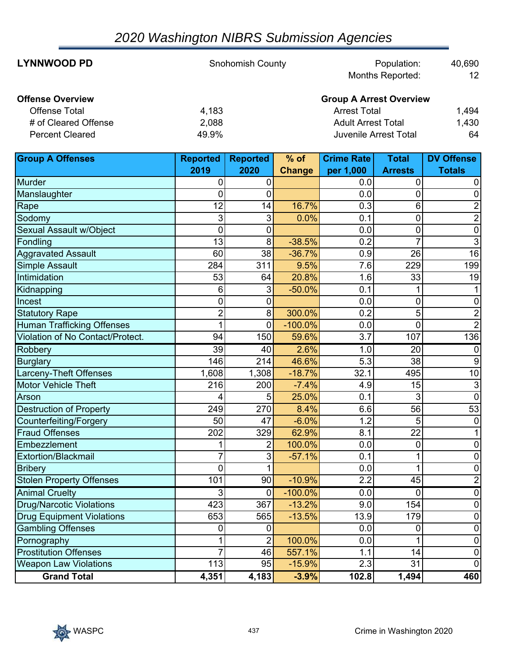# *2020 Washington NIBRS Submission Agencies*

| <b>LYNNWOOD PD</b>      | <b>Snohomish County</b> | Population:                    | 40,690          |
|-------------------------|-------------------------|--------------------------------|-----------------|
|                         |                         | <b>Months Reported:</b>        | 12 <sup>2</sup> |
| <b>Offense Overview</b> |                         | <b>Group A Arrest Overview</b> |                 |
| <b>Offense Total</b>    | 4,183                   | <b>Arrest Total</b>            | 1,494           |
| # of Cleared Offense    | 2,088                   | <b>Adult Arrest Total</b>      | 1,430           |
| <b>Percent Cleared</b>  | 49.9%                   | Juvenile Arrest Total          | 64              |

| <b>Group A Offenses</b>           | <b>Reported</b> | <b>Reported</b> | $%$ of        | <b>Crime Rate</b> | <b>Total</b>    | <b>DV Offense</b> |
|-----------------------------------|-----------------|-----------------|---------------|-------------------|-----------------|-------------------|
|                                   | 2019            | 2020            | <b>Change</b> | per 1,000         | <b>Arrests</b>  | <b>Totals</b>     |
| Murder                            | 0               | 0               |               | 0.0               | 0               | 0                 |
| Manslaughter                      | 0               | 0               |               | 0.0               | 0               | $\mathbf 0$       |
| Rape                              | 12              | 14              | 16.7%         | 0.3               | 6               | $\overline{2}$    |
| Sodomy                            | 3               | $\sqrt{3}$      | 0.0%          | 0.1               | 0               | $\overline{2}$    |
| Sexual Assault w/Object           | $\mathbf 0$     | 0               |               | 0.0               | 0               | $\mathbf 0$       |
| Fondling                          | 13              | 8               | $-38.5%$      | 0.2               | $\overline{7}$  | 3                 |
| <b>Aggravated Assault</b>         | 60              | 38              | $-36.7%$      | 0.9               | 26              | $\overline{16}$   |
| Simple Assault                    | 284             | 311             | 9.5%          | 7.6               | 229             | 199               |
| Intimidation                      | 53              | 64              | 20.8%         | 1.6               | 33              | 19                |
| Kidnapping                        | 6               | 3               | $-50.0%$      | 0.1               | 1               |                   |
| <b>Incest</b>                     | 0               | $\mathbf 0$     |               | 0.0               | 0               | 0                 |
| <b>Statutory Rape</b>             | $\overline{2}$  | 8               | 300.0%        | $\overline{0.2}$  | 5               | $\overline{2}$    |
| <b>Human Trafficking Offenses</b> | 1               | $\overline{0}$  | $-100.0%$     | 0.0               | $\overline{0}$  |                   |
| Violation of No Contact/Protect.  | 94              | 150             | 59.6%         | $\overline{3.7}$  | 107             | 136               |
| Robbery                           | 39              | $\overline{40}$ | 2.6%          | 1.0               | $\overline{20}$ | $\mathbf 0$       |
| <b>Burglary</b>                   | 146             | 214             | 46.6%         | 5.3               | 38              | 9                 |
| <b>Larceny-Theft Offenses</b>     | 1,608           | 1,308           | $-18.7%$      | 32.1              | 495             | $\overline{10}$   |
| <b>Motor Vehicle Theft</b>        | 216             | 200             | $-7.4%$       | 4.9               | 15              | 3                 |
| Arson                             | 4               | 5               | 25.0%         | 0.1               | 3               | $\overline{0}$    |
| <b>Destruction of Property</b>    | 249             | 270             | 8.4%          | 6.6               | 56              | 53                |
| Counterfeiting/Forgery            | 50              | 47              | $-6.0%$       | 1.2               | 5               | $\mathbf 0$       |
| <b>Fraud Offenses</b>             | 202             | 329             | 62.9%         | 8.1               | 22              |                   |
| Embezzlement                      | 1               | $\overline{2}$  | 100.0%        | 0.0               | 0               | 0                 |
| Extortion/Blackmail               | 7               | 3               | $-57.1%$      | 0.1               | 1               | $\mathbf 0$       |
| <b>Bribery</b>                    | $\overline{0}$  | $\overline{1}$  |               | 0.0               | $\overline{1}$  | $\mathbf 0$       |
| <b>Stolen Property Offenses</b>   | 101             | 90              | $-10.9%$      | $\overline{2.2}$  | 45              | $\overline{2}$    |
| <b>Animal Cruelty</b>             | 3               | $\pmb{0}$       | $-100.0%$     | 0.0               | 0               | $\mathbf 0$       |
| <b>Drug/Narcotic Violations</b>   | 423             | 367             | $-13.2%$      | 9.0               | 154             | $\mathbf 0$       |
| <b>Drug Equipment Violations</b>  | 653             | 565             | $-13.5%$      | 13.9              | 179             | $\mathbf 0$       |
| <b>Gambling Offenses</b>          | 0               | 0               |               | 0.0               | 0               | $\mathbf 0$       |
| Pornography                       |                 | $\overline{2}$  | 100.0%        | 0.0               | 1               | $\overline{0}$    |
| <b>Prostitution Offenses</b>      | 7               | 46              | 557.1%        | 1.1               | 14              | $\overline{0}$    |
| <b>Weapon Law Violations</b>      | 113             | $\overline{95}$ | $-15.9%$      | 2.3               | $\overline{31}$ | 0                 |
| <b>Grand Total</b>                | 4,351           | 4,183           | $-3.9%$       | 102.8             | 1,494           | 460               |